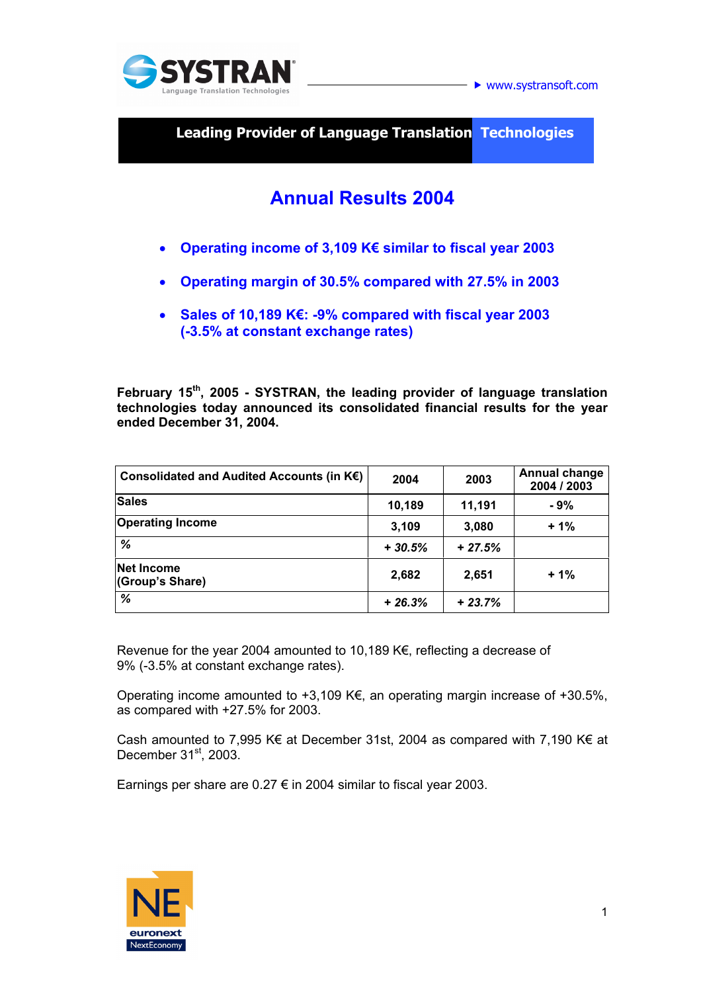



**Leading Provider of Language Translation Technologies** 

## **Annual Results 2004**

- **Operating income of 3,109 K€ similar to fiscal year 2003**
- **Operating margin of 30.5% compared with 27.5% in 2003**
- **Sales of 10,189 K€: -9% compared with fiscal year 2003 (-3.5% at constant exchange rates)**

**February 15th, 2005 - SYSTRAN, the leading provider of language translation technologies today announced its consolidated financial results for the year ended December 31, 2004.** 

| Consolidated and Audited Accounts (in K€) | 2004     | 2003     | <b>Annual change</b><br>2004 / 2003 |
|-------------------------------------------|----------|----------|-------------------------------------|
| <b>Sales</b>                              | 10,189   | 11,191   | - 9%                                |
| <b>Operating Income</b>                   | 3,109    | 3,080    | $+1%$                               |
| %                                         | $+30.5%$ | $+27.5%$ |                                     |
| Net Income<br>(Group's Share)             | 2,682    | 2,651    | $+1%$                               |
| %                                         | $+26.3%$ | $+23.7%$ |                                     |

Revenue for the year 2004 amounted to 10,189 K€, reflecting a decrease of 9% (-3.5% at constant exchange rates).

Operating income amounted to +3,109 K€, an operating margin increase of +30.5%, as compared with +27.5% for 2003.

Cash amounted to 7,995 K€ at December 31st, 2004 as compared with 7,190 K€ at December 31<sup>st</sup>, 2003.

Earnings per share are  $0.27 \in \mathbb{R}$  in 2004 similar to fiscal year 2003.

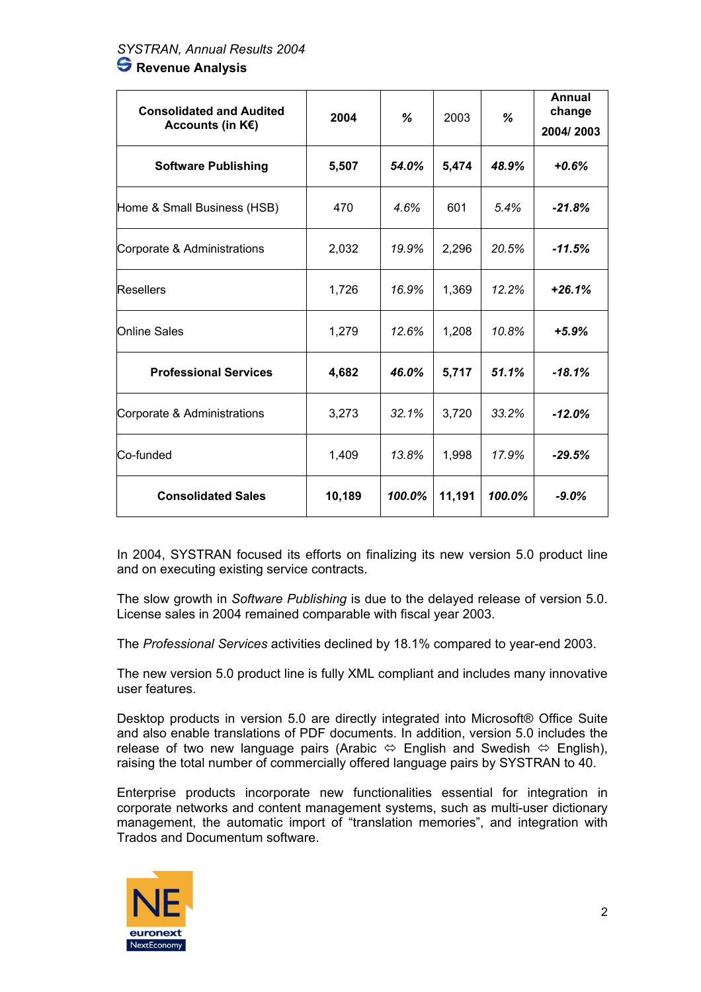| <b>Consolidated and Audited</b><br>Accounts (in $K \in \mathbb{R}$ ) | 2004   | %      | 2003   | %      | Annual<br>change<br>2004/2003 |
|----------------------------------------------------------------------|--------|--------|--------|--------|-------------------------------|
| <b>Software Publishing</b>                                           | 5,507  | 54.0%  | 5,474  | 48.9%  | +0.6%                         |
| Home & Small Business (HSB)                                          | 470    | 4.6%   | 601    | 5.4%   | $-21.8%$                      |
| Corporate & Administrations                                          | 2,032  | 19.9%  | 2,296  | 20.5%  | $-11.5%$                      |
| <b>Resellers</b>                                                     | 1,726  | 16.9%  | 1,369  | 12.2%  | $+26.1%$                      |
| <b>Online Sales</b>                                                  | 1,279  | 12.6%  | 1,208  | 10.8%  | $+5.9%$                       |
| <b>Professional Services</b>                                         | 4,682  | 46.0%  | 5,717  | 51.1%  | $-18.1%$                      |
| Corporate & Administrations                                          | 3,273  | 32.1%  | 3,720  | 33.2%  | $-12.0%$                      |
| Co-funded                                                            | 1,409  | 13.8%  | 1,998  | 17.9%  | $-29.5%$                      |
| <b>Consolidated Sales</b>                                            | 10,189 | 100.0% | 11,191 | 100.0% | $-9.0\%$                      |

In 2004, SYSTRAN focused its efforts on finalizing its new version 5.0 product line and on executing existing service contracts.

The slow growth in *Software Publishing* is due to the delayed release of version 5.0. License sales in 2004 remained comparable with fiscal year 2003.

The *Professional Services* activities declined by 18.1% compared to year-end 2003.

The new version 5.0 product line is fully XML compliant and includes many innovative user features.

Desktop products in version 5.0 are directly integrated into Microsoft® Office Suite and also enable translations of PDF documents. In addition, version 5.0 includes the release of two new language pairs (Arabic  $\Leftrightarrow$  English and Swedish  $\Leftrightarrow$  English), raising the total number of commercially offered language pairs by SYSTRAN to 40.

Enterprise products incorporate new functionalities essential for integration in corporate networks and content management systems, such as multi-user dictionary management, the automatic import of "translation memories", and integration with Trados and Documentum software.

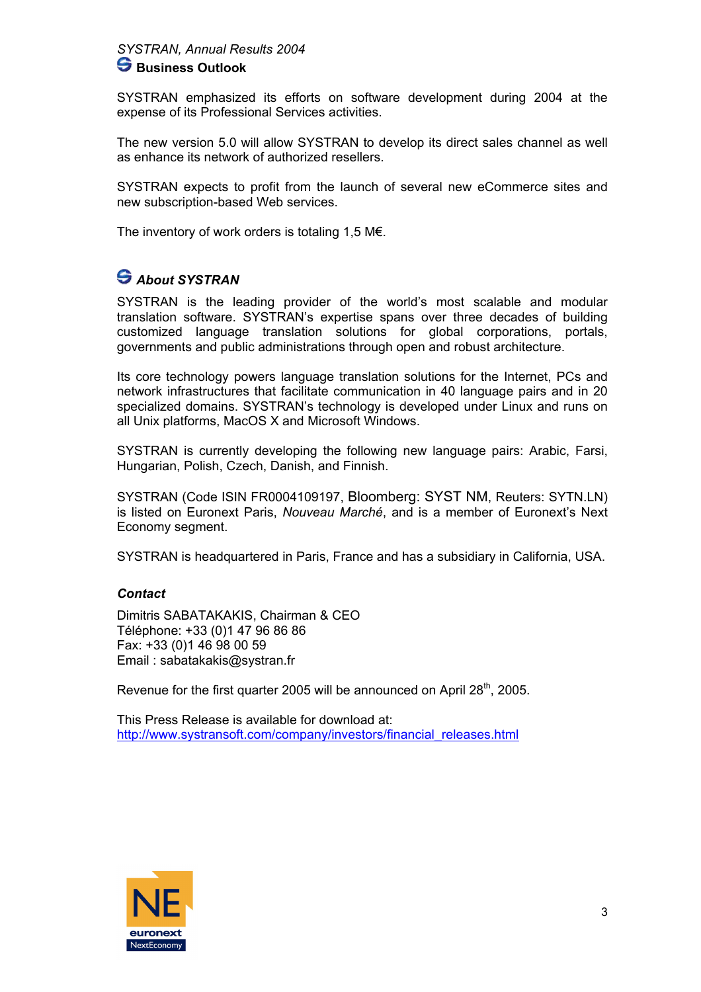## *SYSTRAN, Annual Results 2004*  **S** Business Outlook

SYSTRAN emphasized its efforts on software development during 2004 at the expense of its Professional Services activities.

The new version 5.0 will allow SYSTRAN to develop its direct sales channel as well as enhance its network of authorized resellers.

SYSTRAN expects to profit from the launch of several new eCommerce sites and new subscription-based Web services.

The inventory of work orders is totaling 1.5 M $\epsilon$ .

## *About SYSTRAN*

SYSTRAN is the leading provider of the world's most scalable and modular translation software. SYSTRAN's expertise spans over three decades of building customized language translation solutions for global corporations, portals, governments and public administrations through open and robust architecture.

Its core technology powers language translation solutions for the Internet, PCs and network infrastructures that facilitate communication in 40 language pairs and in 20 specialized domains. SYSTRAN's technology is developed under Linux and runs on all Unix platforms, MacOS X and Microsoft Windows.

SYSTRAN is currently developing the following new language pairs: Arabic, Farsi, Hungarian, Polish, Czech, Danish, and Finnish.

SYSTRAN (Code ISIN FR0004109197, Bloomberg: SYST NM, Reuters: SYTN.LN) is listed on Euronext Paris, *Nouveau Marché*, and is a member of Euronext's Next Economy segment.

SYSTRAN is headquartered in Paris, France and has a subsidiary in California, USA.

## *Contact*

Dimitris SABATAKAKIS, Chairman & CEO Téléphone: +33 (0)1 47 96 86 86 Fax: +33 (0)1 46 98 00 59 Email : sabatakakis@systran.fr

Revenue for the first quarter 2005 will be announced on April 28<sup>th</sup>, 2005.

This Press Release is available for download at: [http://www.systransoft.com/company/investors/financial\\_releases.html](http://www.systransoft.com/company/investors/financial_releases.html)